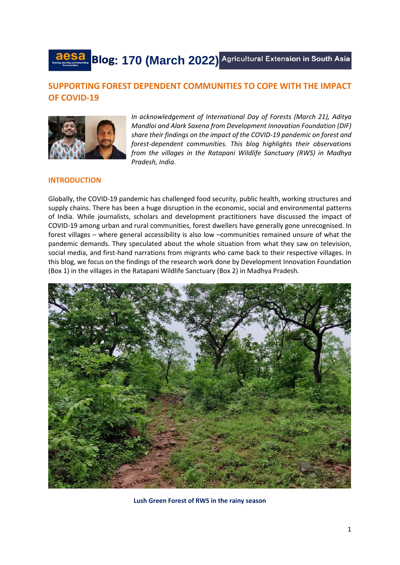

# **SUPPORTING FOREST DEPENDENT COMMUNITIES TO COPE WITH THE IMPACT OF COVID-19**



*In acknowledgement of International Day of Forests (March 21), Aditya Mandloi and Alark Saxena from Development Innovation Foundation (DIF) share their findings on the impact of the COVID-19 pandemic on forest and forest-dependent communities. This blog highlights their observations from the villages in the Ratapani Wildlife Sanctuary (RWS) in Madhya Pradesh, India.*

# **INTRODUCTION**

Globally, the COVID-19 pandemic has challenged food security, public health, working structures and supply chains. There has been a huge disruption in the economic, social and environmental patterns of India. While journalists, scholars and development practitioners have discussed the impact of COVID-19 among urban and rural communities, forest dwellers have generally gone unrecognised. In forest villages – where general accessibility is also low –communities remained unsure of what the pandemic demands. They speculated about the whole situation from what they saw on television, social media, and first-hand narrations from migrants who came back to their respective villages. In this blog, we focus on the findings of the research work done by Development Innovation Foundation (Box 1) in the villages in the Ratapani Wildlife Sanctuary (Box 2) in Madhya Pradesh.



**Lush Green Forest of RWS in the rainy season**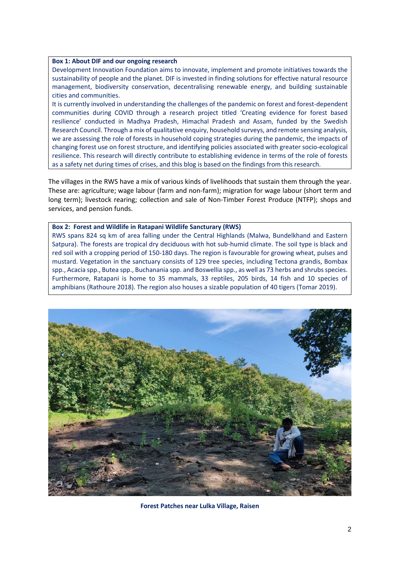#### **Box 1: About DIF and our ongoing research**

Development Innovation Foundation aims to innovate, implement and promote initiatives towards the sustainability of people and the planet. DIF is invested in finding solutions for effective natural resource management, biodiversity conservation, decentralising renewable energy, and building sustainable cities and communities.

It is currently involved in understanding the challenges of the pandemic on forest and forest-dependent communities during COVID through a research project titled 'Creating evidence for forest based resilience' conducted in Madhya Pradesh, Himachal Pradesh and Assam, funded by the Swedish Research Council. Through a mix of qualitative enquiry, household surveys, and remote sensing analysis, we are assessing the role of forests in household coping strategies during the pandemic, the impacts of changing forest use on forest structure, and identifying policies associated with greater socio-ecological resilience. This research will directly contribute to establishing evidence in terms of the role of forests as a safety net during times of crises, and this blog is based on the findings from this research.

The villages in the RWS have a mix of various kinds of livelihoods that sustain them through the year. These are: agriculture; wage labour (farm and non-farm); migration for wage labour (short term and long term); livestock rearing; collection and sale of Non-Timber Forest Produce (NTFP); shops and services, and pension funds.

#### **Box 2: Forest and Wildlife in Ratapani Wildlife Sancturary (RWS)**

RWS spans 824 sq km of area falling under the Central Highlands (Malwa, Bundelkhand and Eastern Satpura). The forests are tropical dry deciduous with hot sub-humid climate. The soil type is black and red soil with a cropping period of 150-180 days. The region is favourable for growing wheat, pulses and mustard. Vegetation in the sanctuary consists of 129 tree species, including Tectona grandis, Bombax spp., Acacia spp., Butea spp., Buchanania spp. and Boswellia spp., as well as 73 herbs and shrubs species. Furthermore, Ratapani is home to 35 mammals, 33 reptiles, 205 birds, 14 fish and 10 species of amphibians (Rathoure 2018). The region also houses a sizable population of 40 tigers (Tomar 2019).



**Forest Patches near Lulka Village, Raisen**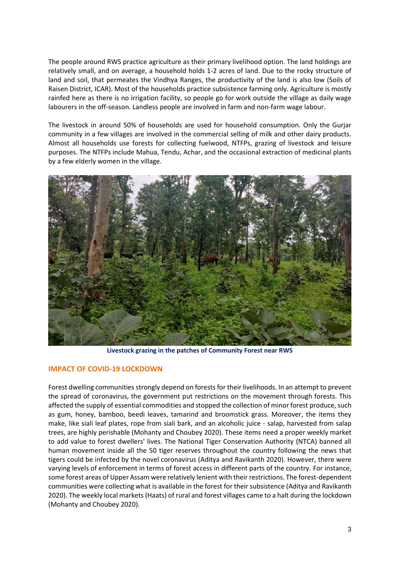The people around RWS practice agriculture as their primary livelihood option. The land holdings are relatively small, and on average, a household holds 1-2 acres of land. Due to the rocky structure of land and soil, that permeates the Vindhya Ranges, the productivity of the land is also low (Soils of Raisen District, ICAR). Most of the households practice subsistence farming only. Agriculture is mostly rainfed here as there is no irrigation facility, so people go for work outside the village as daily wage labourers in the off-season. Landless people are involved in farm and non-farm wage labour.

The livestock in around 50% of households are used for household consumption. Only the Gurjar community in a few villages are involved in the commercial selling of milk and other dairy products. Almost all households use forests for collecting fuelwood, NTFPs, grazing of livestock and leisure purposes. The NTFPs include Mahua, Tendu, Achar, and the occasional extraction of medicinal plants by a few elderly women in the village.



**Livestock grazing in the patches of Community Forest near RWS**

# **IMPACT OF COVID-19 LOCKDOWN**

Forest dwelling communities strongly depend on forests for their livelihoods. In an attempt to prevent the spread of coronavirus, the government put restrictions on the movement through forests. This affected the supply of essential commodities and stopped the collection of minor forest produce, such as gum, honey, bamboo, beedi leaves, tamarind and broomstick grass. Moreover, the items they make, like siali leaf plates, rope from siali bark, and an alcoholic juice - salap, harvested from salap trees, are highly perishable (Mohanty and Choubey 2020). These items need a proper weekly market to add value to forest dwellers' lives. The National Tiger Conservation Authority (NTCA) banned all human movement inside all the 50 tiger reserves throughout the country following the news that tigers could be infected by the novel coronavirus (Aditya and Ravikanth 2020). However, there were varying levels of enforcement in terms of forest access in different parts of the country. For instance, some forest areas of Upper Assam were relatively lenient with their restrictions. The forest-dependent communities were collecting what is available in the forest for their subsistence (Aditya and Ravikanth 2020). The weekly local markets (Haats) of rural and forest villages came to a halt during the lockdown (Mohanty and Choubey 2020).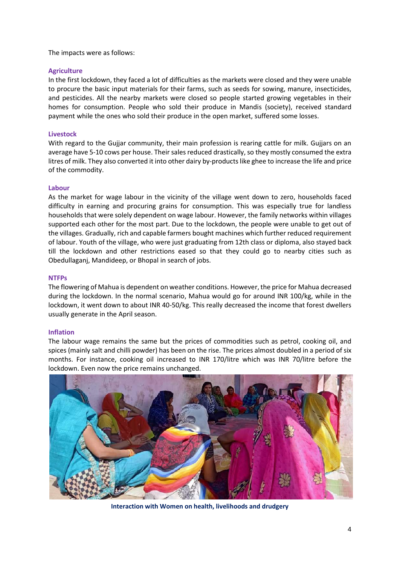The impacts were as follows:

# **Agriculture**

In the first lockdown, they faced a lot of difficulties as the markets were closed and they were unable to procure the basic input materials for their farms, such as seeds for sowing, manure, insecticides, and pesticides. All the nearby markets were closed so people started growing vegetables in their homes for consumption. People who sold their produce in Mandis (society), received standard payment while the ones who sold their produce in the open market, suffered some losses.

# **Livestock**

With regard to the Gujjar community, their main profession is rearing cattle for milk. Gujjars on an average have 5-10 cows per house. Their sales reduced drastically, so they mostly consumed the extra litres of milk. They also converted it into other dairy by-products like ghee to increase the life and price of the commodity.

# **Labour**

As the market for wage labour in the vicinity of the village went down to zero, households faced difficulty in earning and procuring grains for consumption. This was especially true for landless households that were solely dependent on wage labour. However, the family networks within villages supported each other for the most part. Due to the lockdown, the people were unable to get out of the villages. Gradually, rich and capable farmers bought machines which further reduced requirement of labour. Youth of the village, who were just graduating from 12th class or diploma, also stayed back till the lockdown and other restrictions eased so that they could go to nearby cities such as Obedullaganj, Mandideep, or Bhopal in search of jobs.

#### **NTFPs**

The flowering of Mahua is dependent on weather conditions. However, the price for Mahua decreased during the lockdown. In the normal scenario, Mahua would go for around INR 100/kg, while in the lockdown, it went down to about INR 40-50/kg. This really decreased the income that forest dwellers usually generate in the April season.

# **Inflation**

The labour wage remains the same but the prices of commodities such as petrol, cooking oil, and spices (mainly salt and chilli powder) has been on the rise. The prices almost doubled in a period of six months. For instance, cooking oil increased to INR 170/litre which was INR 70/litre before the lockdown. Even now the price remains unchanged.



**Interaction with Women on health, livelihoods and drudgery**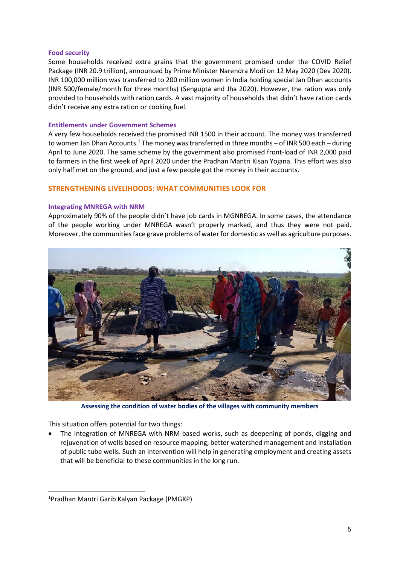#### **Food security**

Some households received extra grains that the government promised under the COVID Relief Package (INR 20.9 trillion), announced by Prime Minister Narendra Modi on 12 May 2020 (Dev 2020). INR 100,000 million was transferred to 200 million women in India holding special Jan Dhan accounts (INR 500/female/month for three months) (Sengupta and Jha 2020). However, the ration was only provided to households with ration cards. A vast majority of households that didn't have ration cards didn't receive any extra ration or cooking fuel.

### **Entitlements under Government Schemes**

A very few households received the promised INR 1500 in their account. The money was transferred to women Jan Dhan Accounts.<sup>1</sup> The money was transferred in three months – of INR 500 each – during April to June 2020. The same scheme by the government also promised front-load of INR 2,000 paid to farmers in the first week of April 2020 under the Pradhan Mantri Kisan Yojana. This effort was also only half met on the ground, and just a few people got the money in their accounts.

# **STRENGTHENING LIVELIHOODS: WHAT COMMUNITIES LOOK FOR**

#### **Integrating MNREGA with NRM**

Approximately 90% of the people didn't have job cards in MGNREGA. In some cases, the attendance of the people working under MNREGA wasn't properly marked, and thus they were not paid. Moreover, the communities face grave problems of water for domestic as well as agriculture purposes.



**Assessing the condition of water bodies of the villages with community members**

This situation offers potential for two things:

 The integration of MNREGA with NRM-based works, such as deepening of ponds, digging and rejuvenation of wells based on resource mapping, better watershed management and installation of public tube wells. Such an intervention will help in generating employment and creating assets that will be beneficial to these communities in the long run.

-

<sup>1</sup>Pradhan Mantri Garib Kalyan Package (PMGKP)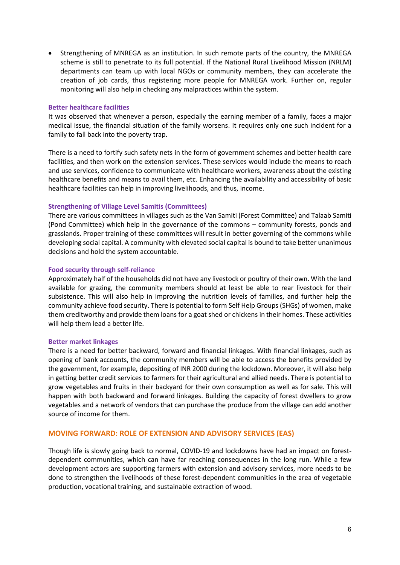Strengthening of MNREGA as an institution. In such remote parts of the country, the MNREGA scheme is still to penetrate to its full potential. If the National Rural Livelihood Mission (NRLM) departments can team up with local NGOs or community members, they can accelerate the creation of job cards, thus registering more people for MNREGA work. Further on, regular monitoring will also help in checking any malpractices within the system.

### **Better healthcare facilities**

It was observed that whenever a person, especially the earning member of a family, faces a major medical issue, the financial situation of the family worsens. It requires only one such incident for a family to fall back into the poverty trap.

There is a need to fortify such safety nets in the form of government schemes and better health care facilities, and then work on the extension services. These services would include the means to reach and use services, confidence to communicate with healthcare workers, awareness about the existing healthcare benefits and means to avail them, etc. Enhancing the availability and accessibility of basic healthcare facilities can help in improving livelihoods, and thus, income.

# **Strengthening of Village Level Samitis (Committees)**

There are various committees in villages such as the Van Samiti (Forest Committee) and Talaab Samiti (Pond Committee) which help in the governance of the commons – community forests, ponds and grasslands. Proper training of these committees will result in better governing of the commons while developing social capital. A community with elevated social capital is bound to take better unanimous decisions and hold the system accountable.

#### **Food security through self-reliance**

Approximately half of the households did not have any livestock or poultry of their own. With the land available for grazing, the community members should at least be able to rear livestock for their subsistence. This will also help in improving the nutrition levels of families, and further help the community achieve food security. There is potential to form Self Help Groups (SHGs) of women, make them creditworthy and provide them loans for a goat shed or chickens in their homes. These activities will help them lead a better life.

#### **Better market linkages**

There is a need for better backward, forward and financial linkages. With financial linkages, such as opening of bank accounts, the community members will be able to access the benefits provided by the government, for example, depositing of INR 2000 during the lockdown. Moreover, it will also help in getting better credit services to farmers for their agricultural and allied needs. There is potential to grow vegetables and fruits in their backyard for their own consumption as well as for sale. This will happen with both backward and forward linkages. Building the capacity of forest dwellers to grow vegetables and a network of vendors that can purchase the produce from the village can add another source of income for them.

# **MOVING FORWARD: ROLE OF EXTENSION AND ADVISORY SERVICES (EAS)**

Though life is slowly going back to normal, COVID-19 and lockdowns have had an impact on forestdependent communities, which can have far reaching consequences in the long run. While a few development actors are supporting farmers with extension and advisory services, more needs to be done to strengthen the livelihoods of these forest-dependent communities in the area of vegetable production, vocational training, and sustainable extraction of wood.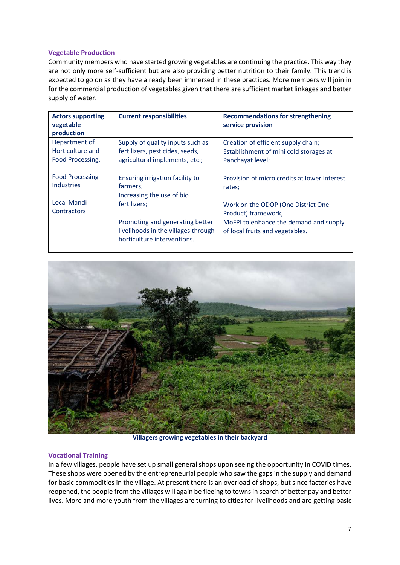# **Vegetable Production**

Community members who have started growing vegetables are continuing the practice. This way they are not only more self-sufficient but are also providing better nutrition to their family. This trend is expected to go on as they have already been immersed in these practices. More members will join in for the commercial production of vegetables given that there are sufficient market linkages and better supply of water.

| <b>Actors supporting</b><br>vegetable | <b>Current responsibilities</b>     | <b>Recommendations for strengthening</b><br>service provision |
|---------------------------------------|-------------------------------------|---------------------------------------------------------------|
| production                            |                                     |                                                               |
| Department of                         | Supply of quality inputs such as    | Creation of efficient supply chain;                           |
| Horticulture and                      | fertilizers, pesticides, seeds,     | Establishment of mini cold storages at                        |
| Food Processing,                      | agricultural implements, etc.;      | Panchayat level;                                              |
|                                       |                                     |                                                               |
| <b>Food Processing</b>                | Ensuring irrigation facility to     | Provision of micro credits at lower interest                  |
| <b>Industries</b>                     | farmers;                            | rates;                                                        |
|                                       | Increasing the use of bio           |                                                               |
| <b>Local Mandi</b>                    | fertilizers:                        | Work on the ODOP (One District One                            |
| Contractors                           |                                     | Product) framework;                                           |
|                                       | Promoting and generating better     | MoFPI to enhance the demand and supply                        |
|                                       | livelihoods in the villages through | of local fruits and vegetables.                               |
|                                       | horticulture interventions.         |                                                               |
|                                       |                                     |                                                               |



**Villagers growing vegetables in their backyard**

# **Vocational Training**

In a few villages, people have set up small general shops upon seeing the opportunity in COVID times. These shops were opened by the entrepreneurial people who saw the gaps in the supply and demand for basic commodities in the village. At present there is an overload of shops, but since factories have reopened, the people from the villages will again be fleeing to townsin search of better pay and better lives. More and more youth from the villages are turning to cities for livelihoods and are getting basic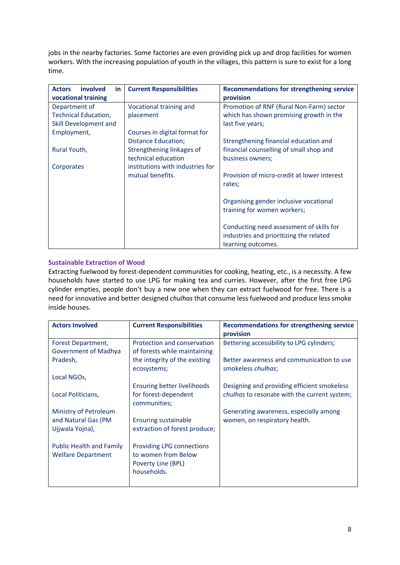jobs in the nearby factories. Some factories are even providing pick up and drop facilities for women workers. With the increasing population of youth in the villages, this pattern is sure to exist for a long time.

| involved<br><b>Actors</b><br>in. | <b>Current Responsibilities</b>  | <b>Recommendations for strengthening service</b> |
|----------------------------------|----------------------------------|--------------------------------------------------|
| vocational training              |                                  | provision                                        |
| Department of                    | Vocational training and          | Promotion of RNF (Rural Non-Farm) sector         |
| <b>Technical Education,</b>      | placement                        | which has shown promising growth in the          |
| Skill Development and            |                                  | last five years;                                 |
| Employment,                      | Courses in digital format for    |                                                  |
|                                  | <b>Distance Education;</b>       | Strengthening financial education and            |
| Rural Youth,                     | Strengthening linkages of        | financial counselling of small shop and          |
|                                  | technical education              | business owners;                                 |
| Corporates                       | institutions with industries for |                                                  |
|                                  | mutual benefits.                 | Provision of micro-credit at lower interest      |
|                                  |                                  | rates;                                           |
|                                  |                                  |                                                  |
|                                  |                                  | Organising gender inclusive vocational           |
|                                  |                                  | training for women workers;                      |
|                                  |                                  |                                                  |
|                                  |                                  | Conducting need assessment of skills for         |
|                                  |                                  | industries and prioritizing the related          |
|                                  |                                  | learning outcomes.                               |

# **Sustainable Extraction of Wood**

Extracting fuelwood by forest-dependent communities for cooking, heating, etc., is a necessity. A few households have started to use LPG for making tea and curries. However, after the first free LPG cylinder empties, people don't buy a new one when they can extract fuelwood for free. There is a need for innovative and better designed *chulhas* that consume less fuelwood and produce less smoke inside houses.

| <b>Actors Involved</b>          | <b>Current Responsibilities</b>              | <b>Recommendations for strengthening service</b><br>provision   |
|---------------------------------|----------------------------------------------|-----------------------------------------------------------------|
| Forest Department,              | Protection and conservation                  | Bettering accessibility to LPG cylinders;                       |
| Government of Madhya            | of forests while maintaining                 |                                                                 |
| Pradesh,                        | the integrity of the existing<br>ecosystems; | Better awareness and communication to use<br>smokeless chulhas; |
| Local NGOs,                     |                                              |                                                                 |
|                                 | Ensuring better livelihoods                  | Designing and providing efficient smokeless                     |
| Local Politicians,              | for forest-dependent<br>communities;         | <i>chulhas</i> to resonate with the current system;             |
| Ministry of Petroleum           |                                              | Generating awareness, especially among                          |
| and Natural Gas (PM             | <b>Ensuring sustainable</b>                  | women, on respiratory health.                                   |
| Ujjwala Yojna),                 | extraction of forest produce;                |                                                                 |
| <b>Public Health and Family</b> | <b>Providing LPG connections</b>             |                                                                 |
| <b>Welfare Department</b>       | to women from Below                          |                                                                 |
|                                 | Poverty Line (BPL)                           |                                                                 |
|                                 | households.                                  |                                                                 |
|                                 |                                              |                                                                 |